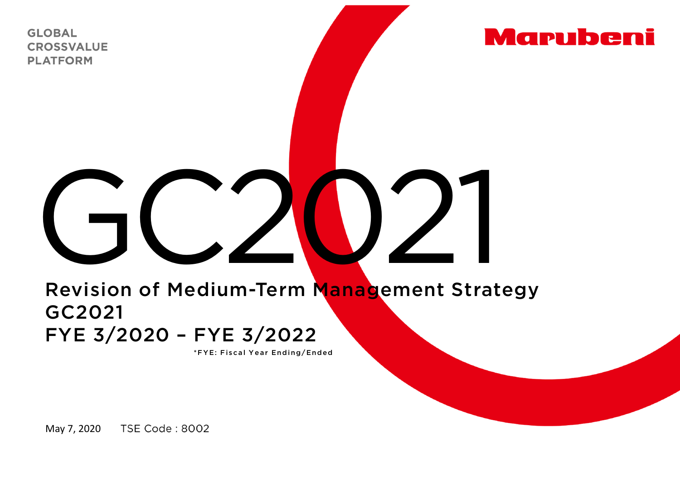**GLOBAL CROSSVALUE PLATFORM** 



## GC2021

## Revision of Medium-Term Management Strategy GC2021 FYE 3/2020 – FYE 3/2022

\*FYE: Fiscal Year Ending/Ended

TSE Code : 8002 May 7, 2020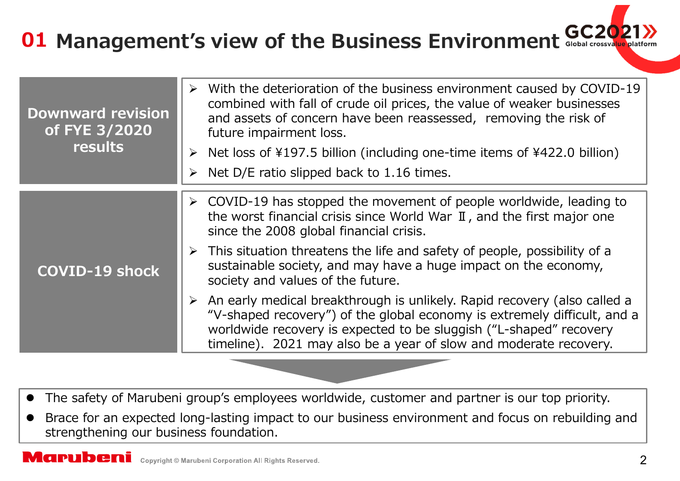## **01 Management's view of the Business Environment**

| <b>Downward revision</b><br>of FYE 3/2020<br>results | $\triangleright$ With the deterioration of the business environment caused by COVID-19<br>combined with fall of crude oil prices, the value of weaker businesses<br>and assets of concern have been reassessed, removing the risk of<br>future impairment loss.                                                                                                                                                        |
|------------------------------------------------------|------------------------------------------------------------------------------------------------------------------------------------------------------------------------------------------------------------------------------------------------------------------------------------------------------------------------------------------------------------------------------------------------------------------------|
|                                                      | $\triangleright$ Net loss of \\$197.5 billion (including one-time items of \\$422.0 billion)                                                                                                                                                                                                                                                                                                                           |
|                                                      | $\triangleright$ Net D/E ratio slipped back to 1.16 times.                                                                                                                                                                                                                                                                                                                                                             |
| <b>COVID-19 shock</b>                                | $\triangleright$ COVID-19 has stopped the movement of people worldwide, leading to<br>the worst financial crisis since World War $\mathbb I$ , and the first major one<br>since the 2008 global financial crisis.<br>$\triangleright$ This situation threatens the life and safety of people, possibility of a<br>sustainable society, and may have a huge impact on the economy,<br>society and values of the future. |
|                                                      | $\triangleright$ An early medical breakthrough is unlikely. Rapid recovery (also called a<br>"V-shaped recovery") of the global economy is extremely difficult, and a<br>worldwide recovery is expected to be sluggish ("L-shaped" recovery<br>timeline). 2021 may also be a year of slow and moderate recovery.                                                                                                       |

- $\bullet$ The safety of Marubeni group's employees worldwide, customer and partner is our top priority.
- $\bullet$  Brace for an expected long-lasting impact to our business environment and focus on rebuilding and strengthening our business foundation.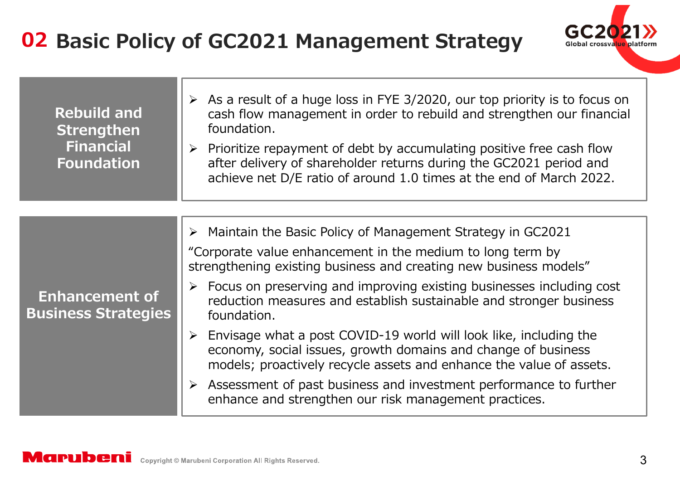

| <b>Rebuild and</b><br><b>Strengthen</b><br><b>Financial</b><br><b>Foundation</b> | $\triangleright$ As a result of a huge loss in FYE 3/2020, our top priority is to focus on<br>cash flow management in order to rebuild and strengthen our financial<br>foundation.<br>$\triangleright$ Prioritize repayment of debt by accumulating positive free cash flow<br>after delivery of shareholder returns during the GC2021 period and<br>achieve net D/E ratio of around 1.0 times at the end of March 2022. |
|----------------------------------------------------------------------------------|--------------------------------------------------------------------------------------------------------------------------------------------------------------------------------------------------------------------------------------------------------------------------------------------------------------------------------------------------------------------------------------------------------------------------|
|                                                                                  |                                                                                                                                                                                                                                                                                                                                                                                                                          |
| <b>Enhancement of</b><br><b>Business Strategies</b>                              | $\triangleright$ Maintain the Basic Policy of Management Strategy in GC2021<br>"Corporate value enhancement in the medium to long term by<br>strengthening existing business and creating new business models"<br>$\triangleright$ Focus on preserving and improving existing businesses including cost<br>reduction measures and establish sustainable and stronger business<br>foundation.                             |
|                                                                                  | Envisage what a post COVID-19 world will look like, including the<br>≻<br>economy, social issues, growth domains and change of business<br>models; proactively recycle assets and enhance the value of assets.<br>$\triangleright$ Assessment of past business and investment performance to further<br>enhance and strengthen our risk management practices.                                                            |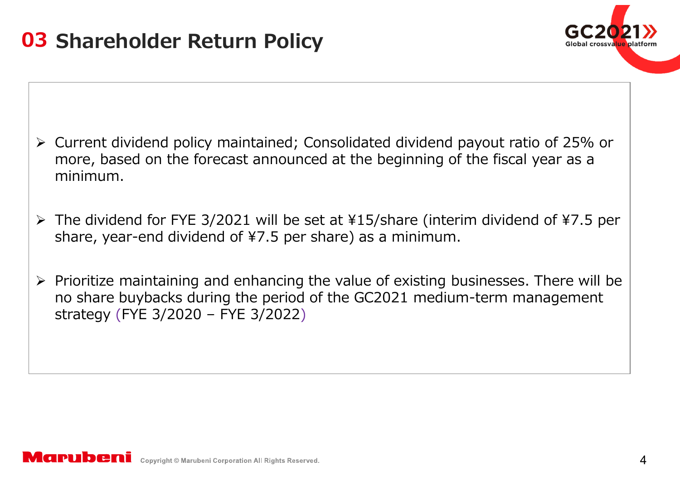

- Current dividend policy maintained; Consolidated dividend payout ratio of 25% or more, based on the forecast announced at the beginning of the fiscal year as <sup>a</sup> minimum.
- The dividend for FYE 3/2021 will be set at ¥15/share (interim dividend of ¥7.5 per share, year-end dividend of ¥7.5 per share) as a minimum.
- $\triangleright$  Prioritize maintaining and enhancing the value of existing businesses. There will be no share buybacks during the period of the GC2021 medium-term management strategy (FYE 3/2020 – FYE 3/2022 )